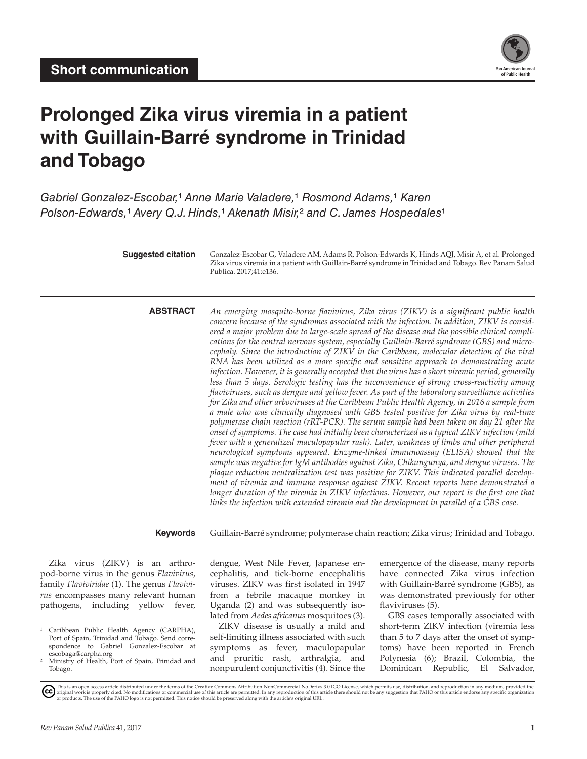

# **Prolonged Zika virus viremia in a patient with Guillain-Barré syndrome in Trinidad and Tobago**

*Gabriel Gonzalez-Escobar,*¹ *Anne Marie Valadere,*¹ *Rosmond Adams,*¹ *Karen Polson-Edwards,<sup>1</sup> Avery Q.J. Hinds,<sup>1</sup> Akenath Misir,<sup>2</sup> and C. James Hospedales<sup>1</sup>* 

> **Suggested citation** Gonzalez-Escobar G, Valadere AM, Adams R, Polson-Edwards K, Hinds AQJ, Misir A, et al. Prolonged Zika virus viremia in a patient with Guillain-Barré syndrome in Trinidad and Tobago. Rev Panam Salud Publica. 2017;41:e136.

**ABSTRACT** *An emerging mosquito-borne flavivirus, Zika virus (ZIKV) is a significant public health concern because of the syndromes associated with the infection. In addition, ZIKV is considered a major problem due to large-scale spread of the disease and the possible clinical complications for the central nervous system, especially Guillain-Barré syndrome (GBS) and microcephaly. Since the introduction of ZIKV in the Caribbean, molecular detection of the viral RNA has been utilized as a more specific and sensitive approach to demonstrating acute infection. However, it is generally accepted that the virus has a short viremic period, generally less than 5 days. Serologic testing has the inconvenience of strong cross-reactivity among flaviviruses, such as dengue and yellow fever. As part of the laboratory surveillance activities for Zika and other arboviruses at the Caribbean Public Health Agency, in 2016 a sample from a male who was clinically diagnosed with GBS tested positive for Zika virus by real-time polymerase chain reaction (rRT-PCR). The serum sample had been taken on day 21 after the onset of symptoms. The case had initially been characterized as a typical ZIKV infection (mild fever with a generalized maculopapular rash). Later, weakness of limbs and other peripheral neurological symptoms appeared. Enzyme-linked immunoassay (ELISA) showed that the sample was negative for IgM antibodies against Zika, Chikungunya, and dengue viruses. The plaque reduction neutralization test was positive for ZIKV. This indicated parallel development of viremia and immune response against ZIKV. Recent reports have demonstrated a longer duration of the viremia in ZIKV infections. However, our report is the first one that links the infection with extended viremia and the development in parallel of a GBS case.*

**Keywords** Guillain-Barré syndrome; polymerase chain reaction; Zika virus; Trinidad and Tobago.

Zika virus (ZIKV) is an arthropod-borne virus in the genus *Flavivirus*, family *Flaviviridae* (1). The genus *Flavivirus* encompasses many relevant human pathogens, including yellow fever, dengue, West Nile Fever, Japanese encephalitis, and tick-borne encephalitis viruses. ZIKV was first isolated in 1947 from a febrile macaque monkey in Uganda (2) and was subsequently isolated from *Aedes africanus* mosquitoes (3).

ZIKV disease is usually a mild and self-limiting illness associated with such symptoms as fever, maculopapular and pruritic rash, arthralgia, and nonpurulent conjunctivitis (4). Since the

emergence of the disease, many reports have connected Zika virus infection with Guillain-Barré syndrome (GBS), as was demonstrated previously for other flaviviruses (5).

GBS cases temporally associated with short-term ZIKV infection (viremia less than 5 to 7 days after the onset of symptoms) have been reported in French Polynesia (6); Brazil, Colombia, the Dominican Republic, El Salvador,

<sup>&</sup>lt;sup>1</sup> Caribbean Public Health Agency (CARPHA), Port of Spain, Trinidad and Tobago. Send correspondence to Gabriel Gonzalez-Escobar at [escobaga@carpha.org](mailto:escobaga@carpha.org)

² Ministry of Health, Port of Spain, Trinidad and Tobago.

This is an open access article distributed under the terms of the [Creative Commons Attribution-NonCommercial-NoDerivs 3.0 IGO License](https://creativecommons.org/licenses/by-nc-nd/3.0/igo/legalcode), which permits use, distribution, and reproduction in any medium, provided the<br>orignal w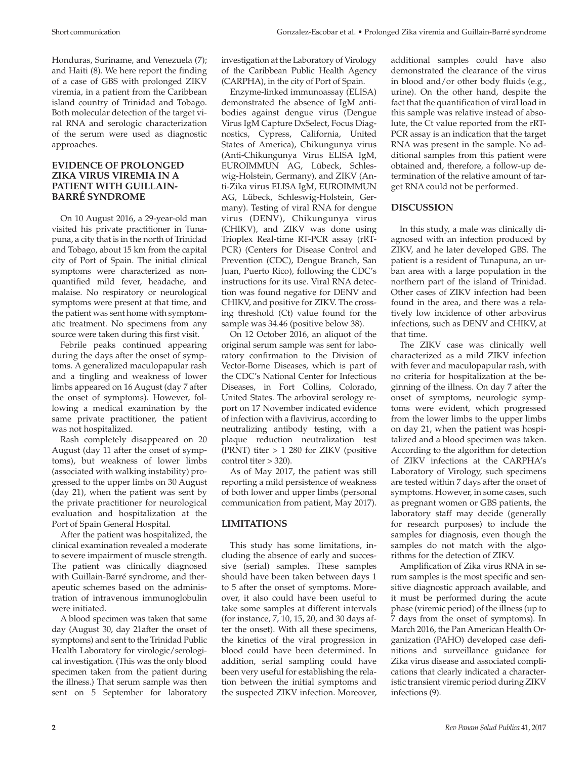Honduras, Suriname, and Venezuela (7); and Haiti (8). We here report the finding of a case of GBS with prolonged ZIKV viremia, in a patient from the Caribbean island country of Trinidad and Tobago. Both molecular detection of the target viral RNA and serologic characterization of the serum were used as diagnostic approaches.

#### **EVIDENCE OF PROLONGED ZIKA VIRUS VIREMIA IN A PATIENT WITH GUILLAIN-BARRÉ SYNDROME**

On 10 August 2016, a 29-year-old man visited his private practitioner in Tunapuna, a city that is in the north of Trinidad and Tobago, about 15 km from the capital city of Port of Spain. The initial clinical symptoms were characterized as nonquantified mild fever, headache, and malaise. No respiratory or neurological symptoms were present at that time, and the patient was sent home with symptomatic treatment. No specimens from any source were taken during this first visit.

Febrile peaks continued appearing during the days after the onset of symptoms. A generalized maculopapular rash and a tingling and weakness of lower limbs appeared on 16 August (day 7 after the onset of symptoms). However, following a medical examination by the same private practitioner, the patient was not hospitalized.

Rash completely disappeared on 20 August (day 11 after the onset of symptoms), but weakness of lower limbs (associated with walking instability) progressed to the upper limbs on 30 August (day 21), when the patient was sent by the private practitioner for neurological evaluation and hospitalization at the Port of Spain General Hospital.

After the patient was hospitalized, the clinical examination revealed a moderate to severe impairment of muscle strength. The patient was clinically diagnosed with Guillain-Barré syndrome, and therapeutic schemes based on the administration of intravenous immunoglobulin were initiated.

A blood specimen was taken that same day (August 30, day 21after the onset of symptoms) and sent to the Trinidad Public Health Laboratory for virologic/serological investigation. (This was the only blood specimen taken from the patient during the illness.) That serum sample was then sent on 5 September for laboratory

investigation at the Laboratory of Virology of the Caribbean Public Health Agency (CARPHA), in the city of Port of Spain.

Enzyme-linked immunoassay (ELISA) demonstrated the absence of IgM antibodies against dengue virus (Dengue Virus IgM Capture DxSelect, Focus Diagnostics, Cypress, California, United States of America), Chikungunya virus (Anti-Chikungunya Virus ELISA IgM, EUROIMMUN AG, Lübeck, Schleswig-Holstein, Germany), and ZIKV (Anti-Zika virus ELISA IgM, EUROIMMUN AG, Lübeck, Schleswig-Holstein, Germany). Testing of viral RNA for dengue virus (DENV), Chikungunya virus (CHIKV), and ZIKV was done using Trioplex Real-time RT-PCR assay (rRT-PCR) (Centers for Disease Control and Prevention (CDC), Dengue Branch, San Juan, Puerto Rico), following the CDC's instructions for its use. Viral RNA detection was found negative for DENV and CHIKV, and positive for ZIKV. The crossing threshold (Ct) value found for the sample was 34.46 (positive below 38).

On 12 October 2016, an aliquot of the original serum sample was sent for laboratory confirmation to the Division of Vector-Borne Diseases, which is part of the CDC's National Center for Infectious Diseases, in Fort Collins, Colorado, United States. The arboviral serology report on 17 November indicated evidence of infection with a flavivirus, according to neutralizing antibody testing, with a plaque reduction neutralization test (PRNT) titer  $> 1$  280 for ZIKV (positive control titer > 320).

As of May 2017, the patient was still reporting a mild persistence of weakness of both lower and upper limbs (personal communication from patient, May 2017).

### **LIMITATIONS**

This study has some limitations, including the absence of early and successive (serial) samples. These samples should have been taken between days 1 to 5 after the onset of symptoms. Moreover, it also could have been useful to take some samples at different intervals (for instance, 7, 10, 15, 20, and 30 days after the onset). With all these specimens, the kinetics of the viral progression in blood could have been determined. In addition, serial sampling could have been very useful for establishing the relation between the initial symptoms and the suspected ZIKV infection. Moreover,

additional samples could have also demonstrated the clearance of the virus in blood and/or other body fluids (e.g., urine). On the other hand, despite the fact that the quantification of viral load in this sample was relative instead of absolute, the Ct value reported from the rRT-PCR assay is an indication that the target RNA was present in the sample. No additional samples from this patient were obtained and, therefore, a follow-up determination of the relative amount of target RNA could not be performed.

## **DISCUSSION**

In this study, a male was clinically diagnosed with an infection produced by ZIKV, and he later developed GBS. The patient is a resident of Tunapuna, an urban area with a large population in the northern part of the island of Trinidad. Other cases of ZIKV infection had been found in the area, and there was a relatively low incidence of other arbovirus infections, such as DENV and CHIKV, at that time.

The ZIKV case was clinically well characterized as a mild ZIKV infection with fever and maculopapular rash, with no criteria for hospitalization at the beginning of the illness. On day 7 after the onset of symptoms, neurologic symptoms were evident, which progressed from the lower limbs to the upper limbs on day 21, when the patient was hospitalized and a blood specimen was taken. According to the algorithm for detection of ZIKV infections at the CARPHA's Laboratory of Virology, such specimens are tested within 7 days after the onset of symptoms. However, in some cases, such as pregnant women or GBS patients, the laboratory staff may decide (generally for research purposes) to include the samples for diagnosis, even though the samples do not match with the algorithms for the detection of ZIKV.

Amplification of Zika virus RNA in serum samples is the most specific and sensitive diagnostic approach available, and it must be performed during the acute phase (viremic period) of the illness (up to 7 days from the onset of symptoms). In March 2016, the Pan American Health Organization (PAHO) developed case definitions and surveillance guidance for Zika virus disease and associated complications that clearly indicated a characteristic transient viremic period during ZIKV infections (9).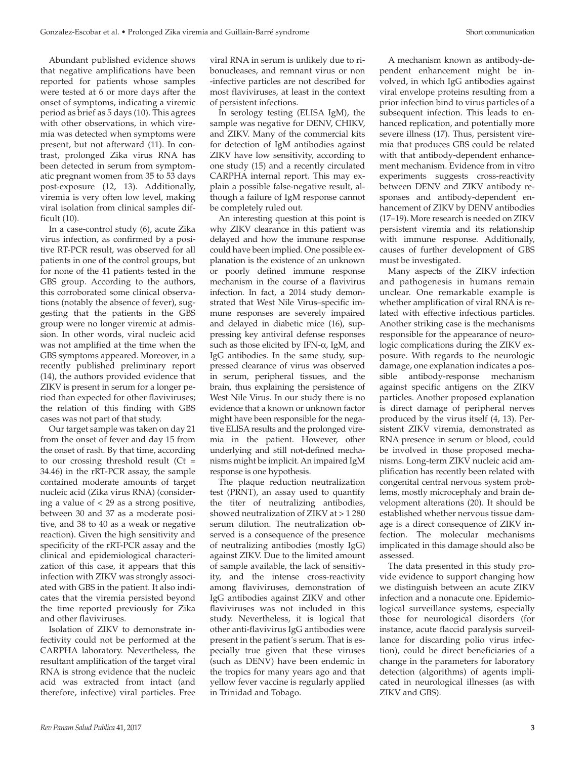Abundant published evidence shows that negative amplifications have been reported for patients whose samples were tested at 6 or more days after the onset of symptoms, indicating a viremic period as brief as 5 days (10). This agrees with other observations, in which viremia was detected when symptoms were present, but not afterward (11). In contrast, prolonged Zika virus RNA has been detected in serum from symptomatic pregnant women from 35 to 53 days post-exposure (12, 13). Additionally, viremia is very often low level, making viral isolation from clinical samples difficult (10).

In a case-control study (6), acute Zika virus infection, as confirmed by a positive RT-PCR result, was observed for all patients in one of the control groups, but for none of the 41 patients tested in the GBS group. According to the authors, this corroborated some clinical observations (notably the absence of fever), suggesting that the patients in the GBS group were no longer viremic at admission. In other words, viral nucleic acid was not amplified at the time when the GBS symptoms appeared. Moreover, in a recently published preliminary report (14), the authors provided evidence that ZIKV is present in serum for a longer period than expected for other flaviviruses; the relation of this finding with GBS cases was not part of that study.

Our target sample was taken on day 21 from the onset of fever and day 15 from the onset of rash. By that time, according to our crossing threshold result ( $Ct =$ 34.46) in the rRT-PCR assay, the sample contained moderate amounts of target nucleic acid (Zika virus RNA) (considering a value of  $<$  29 as a strong positive, between 30 and 37 as a moderate positive, and 38 to 40 as a weak or negative reaction). Given the high sensitivity and specificity of the rRT-PCR assay and the clinical and epidemiological characterization of this case, it appears that this infection with ZIKV was strongly associated with GBS in the patient. It also indicates that the viremia persisted beyond the time reported previously for Zika and other flaviviruses.

Isolation of ZIKV to demonstrate infectivity could not be performed at the CARPHA laboratory. Nevertheless, the resultant amplification of the target viral RNA is strong evidence that the nucleic acid was extracted from intact (and therefore, infective) viral particles. Free

viral RNA in serum is unlikely due to ribonucleases, and remnant virus or non -infective particles are not described for most flaviviruses, at least in the context of persistent infections.

In serology testing (ELISA IgM), the sample was negative for DENV, CHIKV, and ZIKV. Many of the commercial kits for detection of IgM antibodies against ZIKV have low sensitivity, according to one study (15) and a recently circulated CARPHA internal report. This may explain a possible false-negative result, although a failure of IgM response cannot be completely ruled out.

An interesting question at this point is why ZIKV clearance in this patient was delayed and how the immune response could have been implied. One possible explanation is the existence of an unknown or poorly defined immune response mechanism in the course of a flavivirus infection. In fact, a 2014 study demonstrated that West Nile Virus–specific immune responses are severely impaired and delayed in diabetic mice (16), suppressing key antiviral defense responses such as those elicited by IFN-α, IgM, and IgG antibodies. In the same study, suppressed clearance of virus was observed in serum, peripheral tissues, and the brain, thus explaining the persistence of West Nile Virus. In our study there is no evidence that a known or unknown factor might have been responsible for the negative ELISA results and the prolonged viremia in the patient. However, other underlying and still not**-**defined mechanisms might be implicit. An impaired IgM response is one hypothesis.

The plaque reduction neutralization test (PRNT), an assay used to quantify the titer of neutralizing antibodies, showed neutralization of ZIKV at > 1 280 serum dilution. The neutralization observed is a consequence of the presence of neutralizing antibodies (mostly IgG) against ZIKV. Due to the limited amount of sample available, the lack of sensitivity, and the intense cross-reactivity among flaviviruses, demonstration of IgG antibodies against ZIKV and other flaviviruses was not included in this study. Nevertheless, it is logical that other anti-flavivirus IgG antibodies were present in the patient´s serum. That is especially true given that these viruses (such as DENV) have been endemic in the tropics for many years ago and that yellow fever vaccine is regularly applied in Trinidad and Tobago.

A mechanism known as antibody-dependent enhancement might be involved, in which IgG antibodies against viral envelope proteins resulting from a prior infection bind to virus particles of a subsequent infection. This leads to enhanced replication, and potentially more severe illness (17). Thus, persistent viremia that produces GBS could be related with that antibody-dependent enhancement mechanism. Evidence from in vitro experiments suggests cross-reactivity between DENV and ZIKV antibody responses and antibody-dependent enhancement of ZIKV by DENV antibodies (17–19). More research is needed on ZIKV persistent viremia and its relationship with immune response. Additionally, causes of further development of GBS must be investigated.

Many aspects of the ZIKV infection and pathogenesis in humans remain unclear. One remarkable example is whether amplification of viral RNA is related with effective infectious particles. Another striking case is the mechanisms responsible for the appearance of neurologic complications during the ZIKV exposure. With regards to the neurologic damage, one explanation indicates a possible antibody-response mechanism against specific antigens on the ZIKV particles. Another proposed explanation is direct damage of peripheral nerves produced by the virus itself (4, 13). Persistent ZIKV viremia, demonstrated as RNA presence in serum or blood, could be involved in those proposed mechanisms. Long-term ZIKV nucleic acid amplification has recently been related with congenital central nervous system problems, mostly microcephaly and brain development alterations (20). It should be established whether nervous tissue damage is a direct consequence of ZIKV infection. The molecular mechanisms implicated in this damage should also be assessed.

The data presented in this study provide evidence to support changing how we distinguish between an acute ZIKV infection and a nonacute one. Epidemiological surveillance systems, especially those for neurological disorders (for instance, acute flaccid paralysis surveillance for discarding polio virus infection), could be direct beneficiaries of a change in the parameters for laboratory detection (algorithms) of agents implicated in neurological illnesses (as with ZIKV and GBS).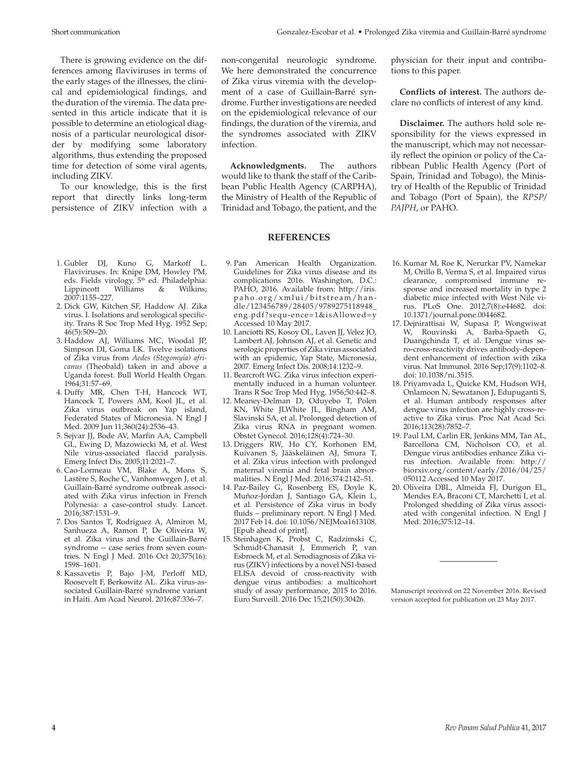There is growing evidence on the differences among flaviviruses in terms of the early stages of the illnesses, the clinical and epidemiological findings, and the duration of the viremia. The data presented in this article indicate that it is possible to determine an etiological diagnosis of a particular neurological disorder by modifying some laboratory algorithms, thus extending the proposed time for detection of some viral agents, including ZIKV.

To our knowledge, this is the first report that directly links long-term persistence of ZIKV infection with a

- 1. Gubler DJ, Kuno G, Markoff L. Flaviviruses. In: Knipe DM, Howley PM, eds. Fields virology, 5<sup>th</sup> ed. Philadelphia:<br>Lippincott Williams & Wilkins; Williams & Wilkins; 2007:1155–227.
- 2. Dick GW, Kitchen SF, Haddow AJ. Zika virus. I. Isolations and serological specificity. Trans R Soc Trop Med Hyg. 1952 Sep; 46(5):509–20.
- 3. Haddow AJ, Williams MC, Woodal JP, Simpson DI, Goma LK. Twelve isolations of Zika virus from *Aedes (Stegomyia) africanus* (Theobald) taken in and above a Uganda forest. Bull World Health Organ. 1964;31:57–69.
- 4. Duffy MR, Chen T-H, Hancock WT, Hancock T, Powers AM, Kool JL, et al. Zika virus outbreak on Yap island, Federated States of Micronesia. N Engl J Med. 2009 Jun 11;360(24):2536–43.
- 5. Sejvar JJ, Bode AV, Marfin AA, Campbell GL, Ewing D, Mazowiecki M, et al. West Nile virus-associated flaccid paralysis. Emerg Infect Dis. 2005;11:2021–7.
- 6. Cao-Lormeau VM, Blake A, Mons S, Lastère S, Roche C, Vanhomwegen J, et al. Guillain-Barré syndrome outbreak associated with Zika virus infection in French Polynesia: a case-control study. Lancet. 2016;387:1531–9.
- 7. Dos Santos T, Rodriguez A, Almiron M, Sanhueza A, Ramon P, De Oliveira W, et al. Zika virus and the Guillain-Barré syndrome -- case series from seven countries. N Engl J Med. 2016 Oct 20;375(16): 1598–1601.
- 8. Kassavetis P, Bajo J-M, Perloff MD, Roosevelt F, Berkowitz AL. Zika virus-associated Guillain-Barré syndrome variant in Haiti. Am Acad Neurol. 2016;87:336–7.

non-congenital neurologic syndrome. We here demonstrated the concurrence of Zika virus viremia with the development of a case of Guillain-Barré syndrome. Further investigations are needed on the epidemiological relevance of our findings, the duration of the viremia, and the syndromes associated with ZIKV infection.

**Acknowledgments.** The authors would like to thank the staff of the Caribbean Public Health Agency (CARPHA), the Ministry of Health of the Republic of Trinidad and Tobago, the patient, and the

#### **REFERENCES**

- 9. Pan American Health Organization. Guidelines for Zika virus disease and its complications 2016. Washington, D.C.: PAHO, 2016. Available from: [http://iris.](http://iris.paho.org/xmlui/bitstream/handle/123456789/28405/9789275118948_eng.pdf?sequ-ence=1&isAllowed=y) [paho.org/xmlui/bitstream/han](http://iris.paho.org/xmlui/bitstream/handle/123456789/28405/9789275118948_eng.pdf?sequ-ence=1&isAllowed=y)[dle/123456789/28405/9789275118948\\_](http://iris.paho.org/xmlui/bitstream/handle/123456789/28405/9789275118948_eng.pdf?sequ-ence=1&isAllowed=y) [eng.pdf?sequ-ence=1&isAllowed=y](http://iris.paho.org/xmlui/bitstream/handle/123456789/28405/9789275118948_eng.pdf?sequ-ence=1&isAllowed=y) Accessed 10 May 2017.
- 10. Lanciotti RS, Kosoy OL, Laven JJ, Velez JO, Lambert AJ, Johnson AJ, et al. Genetic and serologic properties of Zika virus associated with an epidemic, Yap State, Micronesia, 2007. Emerg Infect Dis. 2008;14:1232–9.
- 11. Bearcroft WG. Zika virus infection experimentally induced in a human volunteer. Trans R Soc Trop Med Hyg. 1956;50:442–8.
- 12. Meaney-Delman D, Oduyebo T, Polen KN, White JLWhite JL, Bingham AM, Slavinski SA, et al. Prolonged detection of Zika virus RNA in pregnant women. Obstet Gynecol. 2016;128(4):724–30.
- 13. Driggers RW, Ho CY, Korhonen EM, Kuivanen S, Jääskeläinen AJ, Smura T, et al. Zika virus infection with prolonged maternal viremia and fetal brain abnormalities. N Engl J Med. 2016;374:2142–51.
- 14. Paz-Bailey G, Rosenberg ES, Doyle K, Muñoz-Jordan J, Santiago GA, Klein L, et al. Persistence of Zika virus in body fluids – preliminary report. N Engl J Med. 2017 Feb 14. doi: 10.1056/NEJMoa1613108. [Epub ahead of print].
- 15. Steinhagen K, Probst C, Radzimski C, Schmidt-Chanasit J, Emmerich P, van Esbroeck M, et al. Serodiagnosis of Zika virus (ZIKV) infections by a novel NS1-based ELISA devoid of cross-reactivity with dengue virus antibodies: a multicohort study of assay performance, 2015 to 2016. Euro Surveill. 2016 Dec 15;21(50):30426.

physician for their input and contributions to this paper.

**Conflicts of interest.** The authors declare no conflicts of interest of any kind.

**Disclaimer.** The authors hold sole responsibility for the views expressed in the manuscript, which may not necessarily reflect the opinion or policy of the Caribbean Public Health Agency (Port of Spain, Trinidad and Tobago), the Ministry of Health of the Republic of Trinidad and Tobago (Port of Spain), the *RPSP/ PAJPH*, or PAHO.

- 16. Kumar M, Roe K, Nerurkar PV, Namekar M, Orillo B, Verma S, et al. Impaired virus clearance, compromised immune response and increased mortality in type 2 diabetic mice infected with West Nile virus. PLoS One. 2012;7(8):e44682. doi: 10.1371/journal.pone.0044682.
- 17. Dejnirattisai W, Supasa P, Wongwiwat W, Rouvinski A, Barba-Spaeth G, Duangchinda T, et al. Dengue virus sero-cross-reactivity drives antibody-dependent enhancement of infection with zika virus. Nat Immunol. 2016 Sep;17(9):1102–8. doi: 10.1038/ni.3515.
- 18. Priyamvada L, Quicke KM, Hudson WH, Onlamoon N, Sewatanon J, Edupuganti S, et al. Human antibody responses after dengue virus infection are highly cross-reactive to Zika virus. Proc Nat Acad Sci. 2016;113(28):7852–7.
- 19. Paul LM, Carlin ER, Jenkins MM, Tan AL, Barcellona CM, Nicholson CO, et al. Dengue virus antibodies enhance Zika virus infection. Available from: [http://](http://biorxiv.org/content/early/2016/04/25/050112) [biorxiv.org/content/early/2016/04/25/](http://biorxiv.org/content/early/2016/04/25/050112) [050112](http://biorxiv.org/content/early/2016/04/25/050112) Accessed 10 May 2017.
- 20. Oliveira DBL, Almeida FJ, Durigon EL, Mendes EA, Braconi CT, Marchetti I, et al. Prolonged shedding of Zika virus associated with congenital infection. N Engl J Med. 2016;375:12–14.

Manuscript received on 22 November 2016. Revised version accepted for publication on 23 May 2017.